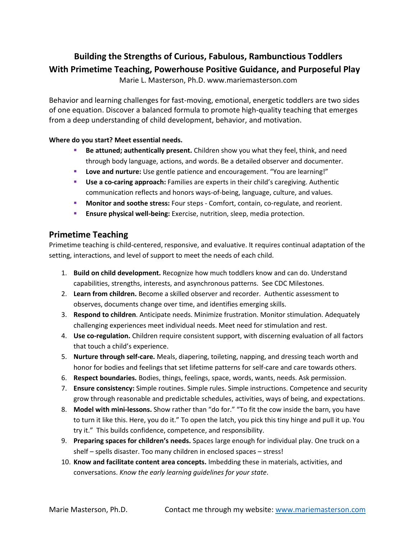## **Building the Strengths of Curious, Fabulous, Rambunctious Toddlers With Primetime Teaching, Powerhouse Positive Guidance, and Purposeful Play**

Marie L. Masterson, Ph.D. www.mariemasterson.com

Behavior and learning challenges for fast-moving, emotional, energetic toddlers are two sides of one equation. Discover a balanced formula to promote high-quality teaching that emerges from a deep understanding of child development, behavior, and motivation.

#### **Where do you start? Meet essential needs.**

- **Be attuned; authentically present.** Children show you what they feel, think, and need through body language, actions, and words. Be a detailed observer and documenter.
- **Love and nurture:** Use gentle patience and encouragement. "You are learning!"
- **Use a co-caring approach:** Families are experts in their child's caregiving. Authentic communication reflects and honors ways-of-being, language, culture, and values.
- **Monitor and soothe stress:** Four steps Comfort, contain, co-regulate, and reorient.
- **Ensure physical well-being:** Exercise, nutrition, sleep, media protection.

#### **Primetime Teaching**

Primetime teaching is child-centered, responsive, and evaluative. It requires continual adaptation of the setting, interactions, and level of support to meet the needs of each child.

- 1. **Build on child development.** Recognize how much toddlers know and can do. Understand capabilities, strengths, interests, and asynchronous patterns. See CDC Milestones.
- 2. **Learn from children.** Become a skilled observer and recorder. Authentic assessment to observes, documents change over time, and identifies emerging skills.
- 3. **Respond to children**. Anticipate needs. Minimize frustration. Monitor stimulation. Adequately challenging experiences meet individual needs. Meet need for stimulation and rest.
- 4. **Use co-regulation.** Children require consistent support, with discerning evaluation of all factors that touch a child's experience.
- 5. **Nurture through self-care.** Meals, diapering, toileting, napping, and dressing teach worth and honor for bodies and feelings that set lifetime patterns for self-care and care towards others.
- 6. **Respect boundaries.** Bodies, things, feelings, space, words, wants, needs. Ask permission.
- 7. **Ensure consistency:** Simple routines. Simple rules. Simple instructions. Competence and security grow through reasonable and predictable schedules, activities, ways of being, and expectations.
- 8. **Model with mini-lessons.** Show rather than "do for." "To fit the cow inside the barn, you have to turn it like this. Here, you do it." To open the latch, you pick this tiny hinge and pull it up. You try it." This builds confidence, competence, and responsibility.
- 9. **Preparing spaces for children's needs.** Spaces large enough for individual play. One truck on a shelf – spells disaster. Too many children in enclosed spaces – stress!
- 10. **Know and facilitate content area concepts.** Imbedding these in materials, activities, and conversations. *Know the early learning guidelines for your state*.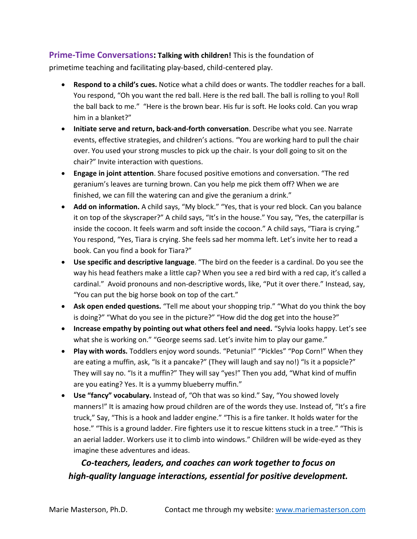### **Prime-Time Conversations: Talking with children!** This is the foundation of

primetime teaching and facilitating play-based, child-centered play.

- **Respond to a child's cues.** Notice what a child does or wants. The toddler reaches for a ball. You respond, "Oh you want the red ball. Here is the red ball. The ball is rolling to you! Roll the ball back to me." "Here is the brown bear. His fur is soft. He looks cold. Can you wrap him in a blanket?"
- **Initiate serve and return, back-and-forth conversation**. Describe what you see. Narrate events, effective strategies, and children's actions. "You are working hard to pull the chair over. You used your strong muscles to pick up the chair. Is your doll going to sit on the chair?" Invite interaction with questions.
- **Engage in joint attention**. Share focused positive emotions and conversation. "The red geranium's leaves are turning brown. Can you help me pick them off? When we are finished, we can fill the watering can and give the geranium a drink."
- **Add on information.** A child says, "My block." "Yes, that is your red block. Can you balance it on top of the skyscraper?" A child says, "It's in the house." You say, "Yes, the caterpillar is inside the cocoon. It feels warm and soft inside the cocoon." A child says, "Tiara is crying." You respond, "Yes, Tiara is crying. She feels sad her momma left. Let's invite her to read a book. Can you find a book for Tiara?"
- **Use specific and descriptive language**. "The bird on the feeder is a cardinal. Do you see the way his head feathers make a little cap? When you see a red bird with a red cap, it's called a cardinal." Avoid pronouns and non-descriptive words, like, "Put it over there." Instead, say, "You can put the big horse book on top of the cart."
- **Ask open ended questions.** "Tell me about your shopping trip." "What do you think the boy is doing?" "What do you see in the picture?" "How did the dog get into the house?"
- **Increase empathy by pointing out what others feel and need.** "Sylvia looks happy. Let's see what she is working on." "George seems sad. Let's invite him to play our game."
- **Play with words.** Toddlers enjoy word sounds. "Petunia!" "Pickles" "Pop Corn!" When they are eating a muffin, ask, "Is it a pancake?" (They will laugh and say no!) "Is it a popsicle?" They will say no. "Is it a muffin?" They will say "yes!" Then you add, "What kind of muffin are you eating? Yes. It is a yummy blueberry muffin."
- **Use "fancy" vocabulary.** Instead of, "Oh that was so kind." Say, "You showed lovely manners!" It is amazing how proud children are of the words they use. Instead of, "It's a fire truck," Say, "This is a hook and ladder engine." "This is a fire tanker. It holds water for the hose." "This is a ground ladder. Fire fighters use it to rescue kittens stuck in a tree." "This is an aerial ladder. Workers use it to climb into windows." Children will be wide-eyed as they imagine these adventures and ideas.

# *Co-teachers, leaders, and coaches can work together to focus on high-quality language interactions, essential for positive development.*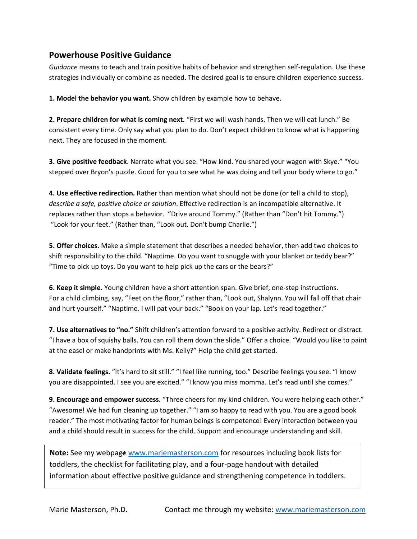#### **Powerhouse Positive Guidance**

*Guidance* means to teach and train positive habits of behavior and strengthen self-regulation. Use these strategies individually or combine as needed. The desired goal is to ensure children experience success.

**1. Model the behavior you want.** Show children by example how to behave.

**2. Prepare children for what is coming next.** "First we will wash hands. Then we will eat lunch." Be consistent every time. Only say what you plan to do. Don't expect children to know what is happening next. They are focused in the moment.

**3. Give positive feedback**. Narrate what you see. "How kind. You shared your wagon with Skye." "You stepped over Bryon's puzzle. Good for you to see what he was doing and tell your body where to go."

**4. Use effective redirection.** Rather than mention what should not be done (or tell a child to stop), *describe a safe, positive choice or solution*. Effective redirection is an incompatible alternative. It replaces rather than stops a behavior. "Drive around Tommy." (Rather than "Don't hit Tommy.") "Look for your feet." (Rather than, "Look out. Don't bump Charlie.")

**5. Offer choices.** Make a simple statement that describes a needed behavior, then add two choices to shift responsibility to the child. "Naptime. Do you want to snuggle with your blanket or teddy bear?" "Time to pick up toys. Do you want to help pick up the cars or the bears?"

**6. Keep it simple.** Young children have a short attention span. Give brief, one-step instructions. For a child climbing, say, "Feet on the floor," rather than, "Look out, Shalynn. You will fall off that chair and hurt yourself." "Naptime. I will pat your back." "Book on your lap. Let's read together."

**7. Use alternatives to "no."** Shift children's attention forward to a positive activity. Redirect or distract. "I have a box of squishy balls. You can roll them down the slide." Offer a choice. "Would you like to paint at the easel or make handprints with Ms. Kelly?" Help the child get started.

**8. Validate feelings.** "It's hard to sit still." "I feel like running, too." Describe feelings you see. "I know you are disappointed. I see you are excited." "I know you miss momma. Let's read until she comes."

**9. Encourage and empower success.** "Three cheers for my kind children. You were helping each other." "Awesome! We had fun cleaning up together." "I am so happy to read with you. You are a good book reader." The most motivating factor for human beings is competence! Every interaction between you and a child should result in success for the child. Support and encourage understanding and skill.

**Note:** See my webpage [www.mariemasterson.com](http://www.mariemasterson.com/) for resources including book lists for toddlers, the checklist for facilitating play, and a four-page handout with detailed information about effective positive guidance and strengthening competence in toddlers.